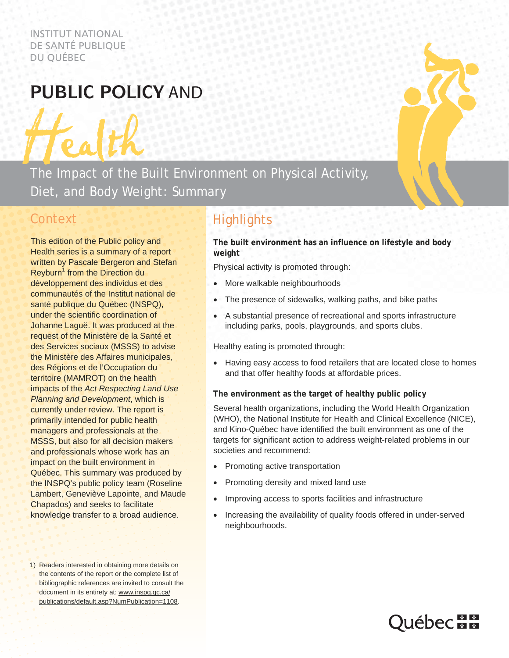INSTITUT NATIONAL DE SANTÉ PUBLIQUE DU QUÉBEC

# **Public policy** and

The Impact of the Built Environment on Physical Activity, Diet, and Body Weight: Summary

## **Context**

This edition of the Public policy and Health series is a summary of a report written by Pascale Bergeron and Stefan Reyburn<sup>1</sup> from the Direction du développement des individus et des communautés of the Institut national de santé publique du Québec (INSPQ), under the scientific coordination of Johanne Laguë. It was produced at the request of the Ministère de la Santé et des Services sociaux (MSSS) to advise the Ministère des Affaires municipales, des Régions et de l'Occupation du territoire (MAMROT) on the health impacts of the *Act Respecting Land Use Planning and Development*, which is currently under review. The report is primarily intended for public health managers and professionals at the MSSS, but also for all decision makers and professionals whose work has an impact on the built environment in Québec. This summary was produced by the INSPQ's public policy team (Roseline Lambert, Geneviève Lapointe, and Maude Chapados) and seeks to facilitate knowledge transfer to a broad audience.

1) Readers interested in obtaining more details on the contents of the report or the complete list of bibliographic references are invited to consult the document in its entirety at: www.inspq.qc.ca/ publications/default.asp?NumPublication=1108.

## **Highlights**

**The built environment has an influence on lifestyle and body weight** 

Physical activity is promoted through:

- More walkable neighbourhoods
- The presence of sidewalks, walking paths, and bike paths
- A substantial presence of recreational and sports infrastructure including parks, pools, playgrounds, and sports clubs.

Healthy eating is promoted through:

 Having easy access to food retailers that are located close to homes and that offer healthy foods at affordable prices.

**The environment as the target of healthy public policy** 

Several health organizations, including the World Health Organization (WHO), the National Institute for Health and Clinical Excellence (NICE), and Kino-Québec have identified the built environment as one of the targets for significant action to address weight-related problems in our societies and recommend:

- Promoting active transportation
- Promoting density and mixed land use
- Improving access to sports facilities and infrastructure
- Increasing the availability of quality foods offered in under-served neighbourhoods.

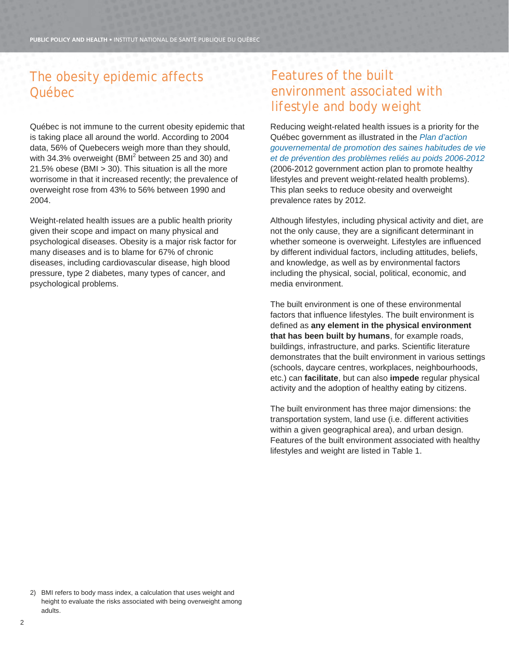## The obesity epidemic affects Québec

Québec is not immune to the current obesity epidemic that is taking place all around the world. According to 2004 data, 56% of Quebecers weigh more than they should, with 34.3% overweight (BMI<sup>2</sup> between 25 and 30) and 21.5% obese (BMI > 30). This situation is all the more worrisome in that it increased recently; the prevalence of overweight rose from 43% to 56% between 1990 and 2004.

Weight-related health issues are a public health priority given their scope and impact on many physical and psychological diseases. Obesity is a major risk factor for many diseases and is to blame for 67% of chronic diseases, including cardiovascular disease, high blood pressure, type 2 diabetes, many types of cancer, and psychological problems.

## Features of the built environment associated with lifestyle and body weight

Reducing weight-related health issues is a priority for the Québec government as illustrated in the *Plan d'action gouvernemental de promotion des saines habitudes de vie et de prévention des problèmes reliés au poids 2006-2012* (2006-2012 government action plan to promote healthy lifestyles and prevent weight-related health problems). This plan seeks to reduce obesity and overweight prevalence rates by 2012.

Although lifestyles, including physical activity and diet, are not the only cause, they are a significant determinant in whether someone is overweight. Lifestyles are influenced by different individual factors, including attitudes, beliefs, and knowledge, as well as by environmental factors including the physical, social, political, economic, and media environment.

The built environment is one of these environmental factors that influence lifestyles. The built environment is defined as **any element in the physical environment that has been built by humans**, for example roads, buildings, infrastructure, and parks. Scientific literature demonstrates that the built environment in various settings (schools, daycare centres, workplaces, neighbourhoods, etc.) can **facilitate**, but can also **impede** regular physical activity and the adoption of healthy eating by citizens.

The built environment has three major dimensions: the transportation system, land use (i.e. different activities within a given geographical area), and urban design. Features of the built environment associated with healthy lifestyles and weight are listed in Table 1.

2) BMI refers to body mass index, a calculation that uses weight and height to evaluate the risks associated with being overweight among adults.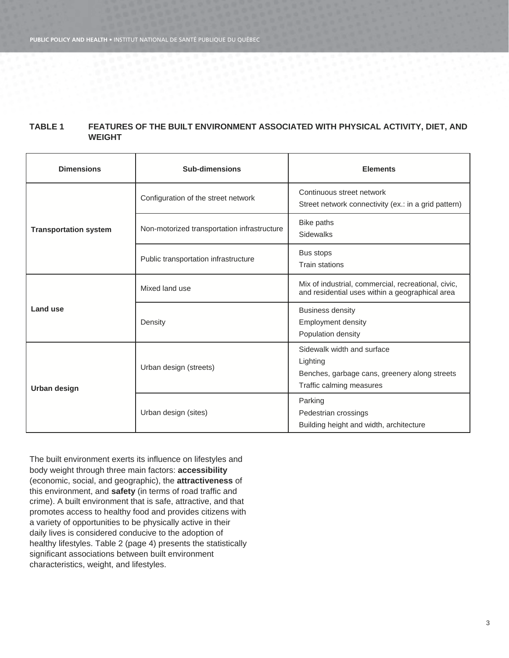### **TABLE 1 FEATURES OF THE BUILT ENVIRONMENT ASSOCIATED WITH PHYSICAL ACTIVITY, DIET, AND WEIGHT**

| <b>Dimensions</b>            | <b>Sub-dimensions</b>                       | <b>Elements</b>                                                                                                     |
|------------------------------|---------------------------------------------|---------------------------------------------------------------------------------------------------------------------|
| <b>Transportation system</b> | Configuration of the street network         | Continuous street network<br>Street network connectivity (ex.: in a grid pattern)                                   |
|                              | Non-motorized transportation infrastructure | Bike paths<br><b>Sidewalks</b>                                                                                      |
|                              | Public transportation infrastructure        | Bus stops<br><b>Train stations</b>                                                                                  |
| Land use                     | Mixed land use                              | Mix of industrial, commercial, recreational, civic,<br>and residential uses within a geographical area              |
|                              | Density                                     | <b>Business density</b><br><b>Employment density</b><br>Population density                                          |
| Urban design                 | Urban design (streets)                      | Sidewalk width and surface<br>Lighting<br>Benches, garbage cans, greenery along streets<br>Traffic calming measures |
|                              | Urban design (sites)                        | Parking<br>Pedestrian crossings<br>Building height and width, architecture                                          |

The built environment exerts its influence on lifestyles and body weight through three main factors: **accessibility**  (economic, social, and geographic), the **attractiveness** of this environment, and **safety** (in terms of road traffic and crime). A built environment that is safe, attractive, and that promotes access to healthy food and provides citizens with a variety of opportunities to be physically active in their daily lives is considered conducive to the adoption of healthy lifestyles. Table 2 (page 4) presents the statistically significant associations between built environment characteristics, weight, and lifestyles.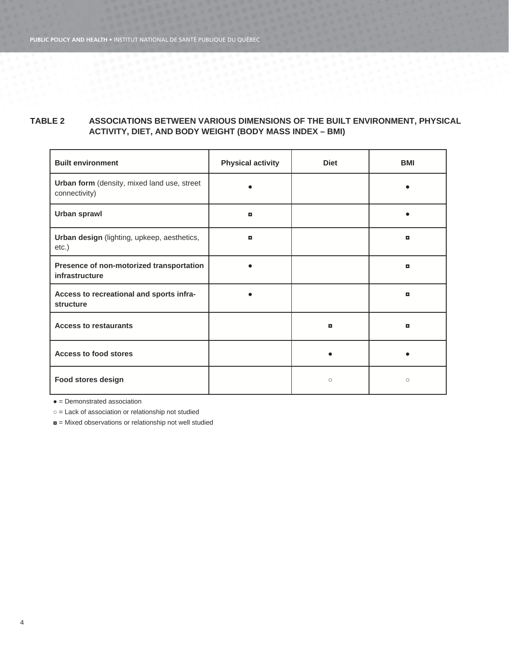### **TABLE 2 ASSOCIATIONS BETWEEN VARIOUS DIMENSIONS OF THE BUILT ENVIRONMENT, PHYSICAL ACTIVITY, DIET, AND BODY WEIGHT (BODY MASS INDEX – BMI)**

| <b>Built environment</b>                                     | <b>Physical activity</b> | <b>Diet</b> | <b>BMI</b> |
|--------------------------------------------------------------|--------------------------|-------------|------------|
| Urban form (density, mixed land use, street<br>connectivity) |                          |             |            |
| Urban sprawl                                                 | ۰                        |             |            |
| Urban design (lighting, upkeep, aesthetics,<br>$etc.$ )      | <b>D</b>                 |             | o          |
| Presence of non-motorized transportation<br>infrastructure   |                          |             | o          |
| Access to recreational and sports infra-<br>structure        |                          |             | o          |
| <b>Access to restaurants</b>                                 |                          | o           | o          |
| <b>Access to food stores</b>                                 |                          |             |            |
| Food stores design                                           |                          | $\circ$     | $\circ$    |

**●** = Demonstrated association

○ = Lack of association or relationship not studied

◘ = Mixed observations or relationship not well studied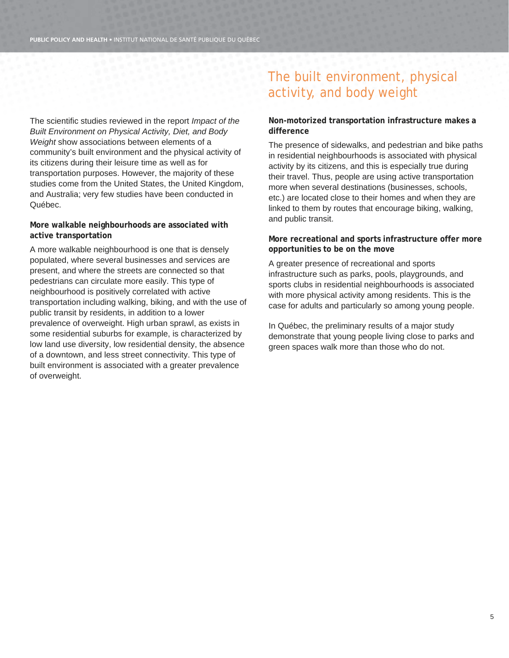The scientific studies reviewed in the report *Impact of the Built Environment on Physical Activity, Diet, and Body Weight* show associations between elements of a community's built environment and the physical activity of its citizens during their leisure time as well as for transportation purposes. However, the majority of these studies come from the United States, the United Kingdom, and Australia; very few studies have been conducted in Québec.

### **More walkable neighbourhoods are associated with active transportation**

A more walkable neighbourhood is one that is densely populated, where several businesses and services are present, and where the streets are connected so that pedestrians can circulate more easily. This type of neighbourhood is positively correlated with active transportation including walking, biking, and with the use of public transit by residents, in addition to a lower prevalence of overweight. High urban sprawl, as exists in some residential suburbs for example, is characterized by low land use diversity, low residential density, the absence of a downtown, and less street connectivity. This type of built environment is associated with a greater prevalence of overweight.

## The built environment, physical activity, and body weight

### **Non-motorized transportation infrastructure makes a difference**

The presence of sidewalks, and pedestrian and bike paths in residential neighbourhoods is associated with physical activity by its citizens, and this is especially true during their travel. Thus, people are using active transportation more when several destinations (businesses, schools, etc.) are located close to their homes and when they are linked to them by routes that encourage biking, walking, and public transit.

### **More recreational and sports infrastructure offer more opportunities to be on the move**

A greater presence of recreational and sports infrastructure such as parks, pools, playgrounds, and sports clubs in residential neighbourhoods is associated with more physical activity among residents. This is the case for adults and particularly so among young people.

In Québec, the preliminary results of a major study demonstrate that young people living close to parks and green spaces walk more than those who do not.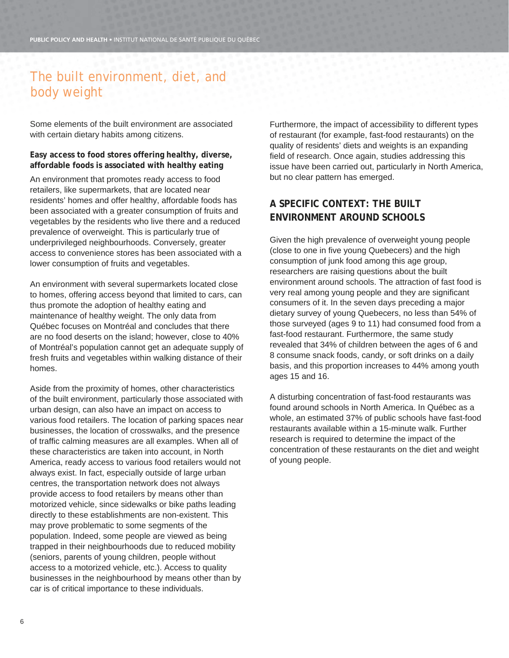## The built environment, diet, and body weight

Some elements of the built environment are associated with certain dietary habits among citizens.

**Easy access to food stores offering healthy, diverse, affordable foods is associated with healthy eating** 

An environment that promotes ready access to food retailers, like supermarkets, that are located near residents' homes and offer healthy, affordable foods has been associated with a greater consumption of fruits and vegetables by the residents who live there and a reduced prevalence of overweight. This is particularly true of underprivileged neighbourhoods. Conversely, greater access to convenience stores has been associated with a lower consumption of fruits and vegetables.

An environment with several supermarkets located close to homes, offering access beyond that limited to cars, can thus promote the adoption of healthy eating and maintenance of healthy weight. The only data from Québec focuses on Montréal and concludes that there are no food deserts on the island; however, close to 40% of Montréal's population cannot get an adequate supply of fresh fruits and vegetables within walking distance of their homes.

Aside from the proximity of homes, other characteristics of the built environment, particularly those associated with urban design, can also have an impact on access to various food retailers. The location of parking spaces near businesses, the location of crosswalks, and the presence of traffic calming measures are all examples. When all of these characteristics are taken into account, in North America, ready access to various food retailers would not always exist. In fact, especially outside of large urban centres, the transportation network does not always provide access to food retailers by means other than motorized vehicle, since sidewalks or bike paths leading directly to these establishments are non-existent. This may prove problematic to some segments of the population. Indeed, some people are viewed as being trapped in their neighbourhoods due to reduced mobility (seniors, parents of young children, people without access to a motorized vehicle, etc.). Access to quality businesses in the neighbourhood by means other than by car is of critical importance to these individuals.

Furthermore, the impact of accessibility to different types of restaurant (for example, fast-food restaurants) on the quality of residents' diets and weights is an expanding field of research. Once again, studies addressing this issue have been carried out, particularly in North America, but no clear pattern has emerged.

### **A SPECIFIC CONTEXT: THE BUILT ENVIRONMENT AROUND SCHOOLS**

Given the high prevalence of overweight young people (close to one in five young Quebecers) and the high consumption of junk food among this age group, researchers are raising questions about the built environment around schools. The attraction of fast food is very real among young people and they are significant consumers of it. In the seven days preceding a major dietary survey of young Quebecers, no less than 54% of those surveyed (ages 9 to 11) had consumed food from a fast-food restaurant. Furthermore, the same study revealed that 34% of children between the ages of 6 and 8 consume snack foods, candy, or soft drinks on a daily basis, and this proportion increases to 44% among youth ages 15 and 16.

A disturbing concentration of fast-food restaurants was found around schools in North America. In Québec as a whole, an estimated 37% of public schools have fast-food restaurants available within a 15-minute walk. Further research is required to determine the impact of the concentration of these restaurants on the diet and weight of young people.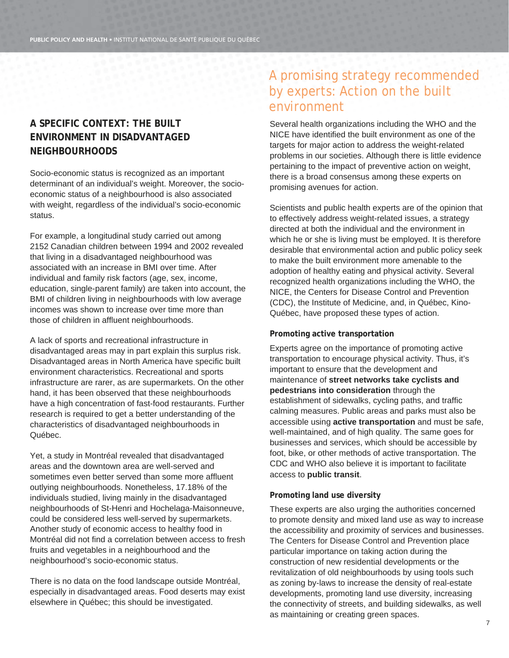### **A SPECIFIC CONTEXT: THE BUILT ENVIRONMENT IN DISADVANTAGED NEIGHBOURHOODS**

Socio-economic status is recognized as an important determinant of an individual's weight. Moreover, the socioeconomic status of a neighbourhood is also associated with weight, regardless of the individual's socio-economic status.

For example, a longitudinal study carried out among 2152 Canadian children between 1994 and 2002 revealed that living in a disadvantaged neighbourhood was associated with an increase in BMI over time. After individual and family risk factors (age, sex, income, education, single-parent family) are taken into account, the BMI of children living in neighbourhoods with low average incomes was shown to increase over time more than those of children in affluent neighbourhoods.

A lack of sports and recreational infrastructure in disadvantaged areas may in part explain this surplus risk. Disadvantaged areas in North America have specific built environment characteristics. Recreational and sports infrastructure are rarer, as are supermarkets. On the other hand, it has been observed that these neighbourhoods have a high concentration of fast-food restaurants. Further research is required to get a better understanding of the characteristics of disadvantaged neighbourhoods in Québec.

Yet, a study in Montréal revealed that disadvantaged areas and the downtown area are well-served and sometimes even better served than some more affluent outlying neighbourhoods. Nonetheless, 17.18% of the individuals studied, living mainly in the disadvantaged neighbourhoods of St-Henri and Hochelaga-Maisonneuve, could be considered less well-served by supermarkets. Another study of economic access to healthy food in Montréal did not find a correlation between access to fresh fruits and vegetables in a neighbourhood and the neighbourhood's socio-economic status.

There is no data on the food landscape outside Montréal, especially in disadvantaged areas. Food deserts may exist elsewhere in Québec; this should be investigated.

## A promising strategy recommended by experts: Action on the built environment

Several health organizations including the WHO and the NICE have identified the built environment as one of the targets for major action to address the weight-related problems in our societies. Although there is little evidence pertaining to the impact of preventive action on weight, there is a broad consensus among these experts on promising avenues for action.

Scientists and public health experts are of the opinion that to effectively address weight-related issues, a strategy directed at both the individual and the environment in which he or she is living must be employed. It is therefore desirable that environmental action and public policy seek to make the built environment more amenable to the adoption of healthy eating and physical activity. Several recognized health organizations including the WHO, the NICE, the Centers for Disease Control and Prevention (CDC), the Institute of Medicine, and, in Québec, Kino-Québec, have proposed these types of action.

### **Promoting active transportation**

Experts agree on the importance of promoting active transportation to encourage physical activity. Thus, it's important to ensure that the development and maintenance of **street networks take cyclists and pedestrians into consideration** through the establishment of sidewalks, cycling paths, and traffic calming measures. Public areas and parks must also be accessible using **active transportation** and must be safe, well-maintained, and of high quality. The same goes for businesses and services, which should be accessible by foot, bike, or other methods of active transportation. The CDC and WHO also believe it is important to facilitate access to **public transit**.

### **Promoting land use diversity**

These experts are also urging the authorities concerned to promote density and mixed land use as way to increase the accessibility and proximity of services and businesses. The Centers for Disease Control and Prevention place particular importance on taking action during the construction of new residential developments or the revitalization of old neighbourhoods by using tools such as zoning by-laws to increase the density of real-estate developments, promoting land use diversity, increasing the connectivity of streets, and building sidewalks, as well as maintaining or creating green spaces.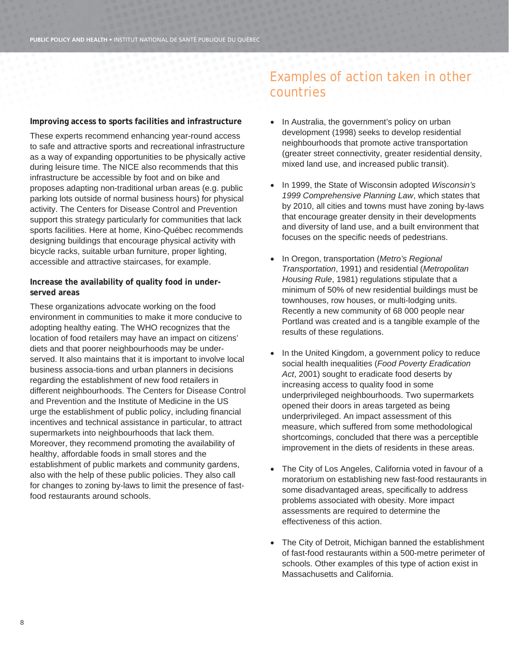**Improving access to sports facilities and infrastructure** 

These experts recommend enhancing year-round access to safe and attractive sports and recreational infrastructure as a way of expanding opportunities to be physically active during leisure time. The NICE also recommends that this infrastructure be accessible by foot and on bike and proposes adapting non-traditional urban areas (e.g. public parking lots outside of normal business hours) for physical activity. The Centers for Disease Control and Prevention support this strategy particularly for communities that lack sports facilities. Here at home, Kino-Québec recommends designing buildings that encourage physical activity with bicycle racks, suitable urban furniture, proper lighting, accessible and attractive staircases, for example.

**Increase the availability of quality food in underserved areas** 

These organizations advocate working on the food environment in communities to make it more conducive to adopting healthy eating. The WHO recognizes that the location of food retailers may have an impact on citizens' diets and that poorer neighbourhoods may be underserved. It also maintains that it is important to involve local business associa-tions and urban planners in decisions regarding the establishment of new food retailers in different neighbourhoods. The Centers for Disease Control and Prevention and the Institute of Medicine in the US urge the establishment of public policy, including financial incentives and technical assistance in particular, to attract supermarkets into neighbourhoods that lack them. Moreover, they recommend promoting the availability of healthy, affordable foods in small stores and the establishment of public markets and community gardens, also with the help of these public policies. They also call for changes to zoning by-laws to limit the presence of fastfood restaurants around schools.

## Examples of action taken in other countries

- In Australia, the government's policy on urban development (1998) seeks to develop residential neighbourhoods that promote active transportation (greater street connectivity, greater residential density, mixed land use, and increased public transit).
- In 1999, the State of Wisconsin adopted *Wisconsin's 1999 Comprehensive Planning Law*, which states that by 2010, all cities and towns must have zoning by-laws that encourage greater density in their developments and diversity of land use, and a built environment that focuses on the specific needs of pedestrians.
- In Oregon, transportation (*Metro's Regional Transportation*, 1991) and residential (*Metropolitan Housing Rule*, 1981) regulations stipulate that a minimum of 50% of new residential buildings must be townhouses, row houses, or multi-lodging units. Recently a new community of 68 000 people near Portland was created and is a tangible example of the results of these regulations.
- In the United Kingdom, a government policy to reduce social health inequalities (*Food Poverty Eradication Act*, 2001) sought to eradicate food deserts by increasing access to quality food in some underprivileged neighbourhoods. Two supermarkets opened their doors in areas targeted as being underprivileged. An impact assessment of this measure, which suffered from some methodological shortcomings, concluded that there was a perceptible improvement in the diets of residents in these areas.
- The City of Los Angeles, California voted in favour of a moratorium on establishing new fast-food restaurants in some disadvantaged areas, specifically to address problems associated with obesity. More impact assessments are required to determine the effectiveness of this action.
- The City of Detroit, Michigan banned the establishment of fast-food restaurants within a 500-metre perimeter of schools. Other examples of this type of action exist in Massachusetts and California.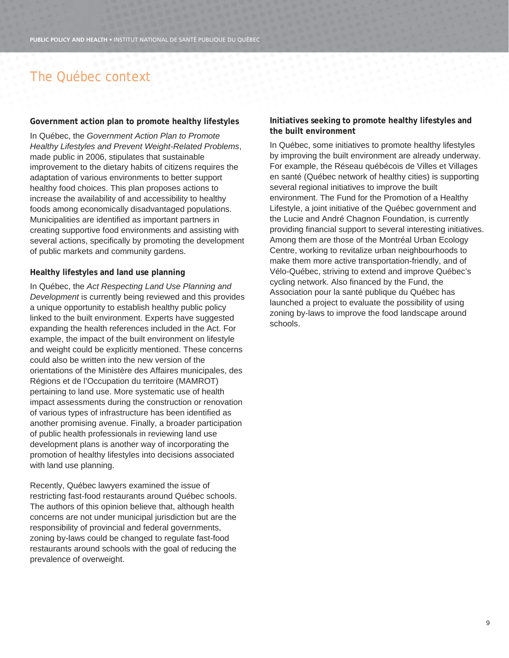## The Québec context

#### **Government action plan to promote healthy lifestyles**

In Québec, the *Government Action Plan to Promote Healthy Lifestyles and Prevent Weight-Related Problems*, made public in 2006, stipulates that sustainable improvement to the dietary habits of citizens requires the adaptation of various environments to better support healthy food choices. This plan proposes actions to increase the availability of and accessibility to healthy foods among economically disadvantaged populations. Municipalities are identified as important partners in creating supportive food environments and assisting with several actions, specifically by promoting the development of public markets and community gardens.

#### **Healthy lifestyles and land use planning**

In Québec, the *Act Respecting Land Use Planning and Development* is currently being reviewed and this provides a unique opportunity to establish healthy public policy linked to the built environment. Experts have suggested expanding the health references included in the Act. For example, the impact of the built environment on lifestyle and weight could be explicitly mentioned. These concerns could also be written into the new version of the orientations of the Ministère des Affaires municipales, des Régions et de l'Occupation du territoire (MAMROT) pertaining to land use. More systematic use of health impact assessments during the construction or renovation of various types of infrastructure has been identified as another promising avenue. Finally, a broader participation of public health professionals in reviewing land use development plans is another way of incorporating the promotion of healthy lifestyles into decisions associated with land use planning.

Recently, Québec lawyers examined the issue of restricting fast-food restaurants around Québec schools. The authors of this opinion believe that, although health concerns are not under municipal jurisdiction but are the responsibility of provincial and federal governments, zoning by-laws could be changed to regulate fast-food restaurants around schools with the goal of reducing the prevalence of overweight.

**Initiatives seeking to promote healthy lifestyles and the built environment** 

In Québec, some initiatives to promote healthy lifestyles by improving the built environment are already underway. For example, the Réseau québécois de Villes et Villages en santé (Québec network of healthy cities) is supporting several regional initiatives to improve the built environment. The Fund for the Promotion of a Healthy Lifestyle, a joint initiative of the Québec government and the Lucie and André Chagnon Foundation, is currently providing financial support to several interesting initiatives. Among them are those of the Montréal Urban Ecology Centre, working to revitalize urban neighbourhoods to make them more active transportation-friendly, and of Vélo-Québec, striving to extend and improve Québec's cycling network. Also financed by the Fund, the Association pour la santé publique du Québec has launched a project to evaluate the possibility of using zoning by-laws to improve the food landscape around schools.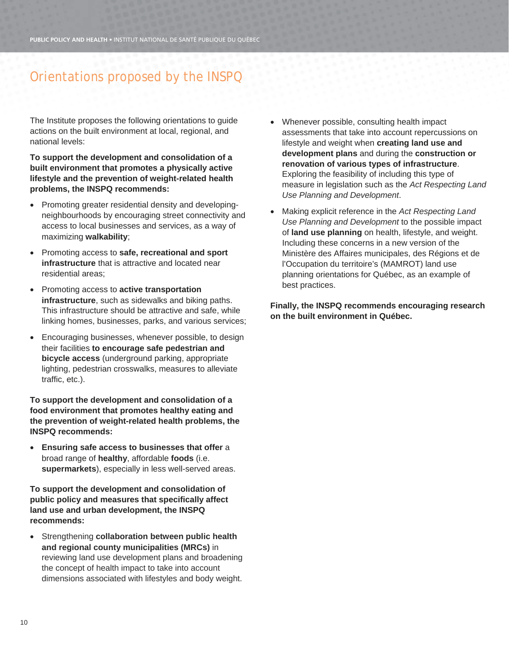## Orientations proposed by the INSPQ

The Institute proposes the following orientations to guide actions on the built environment at local, regional, and national levels:

**To support the development and consolidation of a built environment that promotes a physically active lifestyle and the prevention of weight-related health problems, the INSPQ recommends:** 

- Promoting greater residential density and developingneighbourhoods by encouraging street connectivity and access to local businesses and services, as a way of maximizing **walkability**;
- Promoting access to **safe, recreational and sport infrastructure** that is attractive and located near residential areas;
- Promoting access to **active transportation infrastructure**, such as sidewalks and biking paths. This infrastructure should be attractive and safe, while linking homes, businesses, parks, and various services;
- Encouraging businesses, whenever possible, to design their facilities **to encourage safe pedestrian and bicycle access** (underground parking, appropriate lighting, pedestrian crosswalks, measures to alleviate traffic, etc.).

**To support the development and consolidation of a food environment that promotes healthy eating and the prevention of weight-related health problems, the INSPQ recommends:** 

 **Ensuring safe access to businesses that offer** a broad range of **healthy**, affordable **foods** (i.e. **supermarkets**), especially in less well-served areas.

**To support the development and consolidation of public policy and measures that specifically affect land use and urban development, the INSPQ recommends:** 

 Strengthening **collaboration between public health and regional county municipalities (MRCs)** in reviewing land use development plans and broadening the concept of health impact to take into account dimensions associated with lifestyles and body weight.

- Whenever possible, consulting health impact assessments that take into account repercussions on lifestyle and weight when **creating land use and development plans** and during the **construction or renovation of various types of infrastructure**. Exploring the feasibility of including this type of measure in legislation such as the *Act Respecting Land Use Planning and Development*.
- Making explicit reference in the *Act Respecting Land Use Planning and Development* to the possible impact of **land use planning** on health, lifestyle, and weight. Including these concerns in a new version of the Ministère des Affaires municipales, des Régions et de l'Occupation du territoire's (MAMROT) land use planning orientations for Québec, as an example of best practices.

**Finally, the INSPQ recommends encouraging research on the built environment in Québec.**